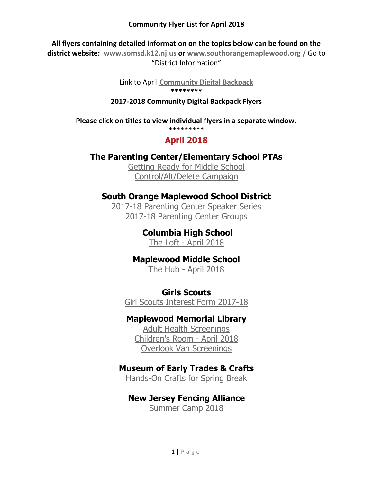**All flyers containing detailed information on the topics below can be found on the** 

**district website: [www.somsd.k12.nj.us](http://www.somsd.k12.nj.us/) or [www.southorangemaplewood.org](http://www.southorangemaplewood.org/) /** Go to "District Information"

> Link to April **[Community Digital Backpack](https://www.somsd.k12.nj.us/site/default.aspx?PageType=3&ModuleInstanceID=1034&ViewID=7b97f7ed-8e5e-4120-848f-a8b4987d588f&RenderLoc=0&FlexDataID=16843&PageID=412) \*\*\*\*\*\*\*\***

#### **2017-2018 Community Digital Backpack Flyers**

**Please click on titles to view individual flyers in a separate window.**

\*\*\*\*\*\*\*\*\*

# **April 2018**

# **The Parenting Center/Elementary School PTAs**

[Getting Ready for Middle School](https://www.somsd.k12.nj.us/cms/lib/NJ01001050/Centricity/Domain/43/getting%20ready%20for%20middle%20school%202018%20rev.pdf) [Control/Alt/Delete Campaign](https://www.somsd.k12.nj.us/cms/lib/NJ01001050/Centricity/Domain/43/Screen%20Smart%20Kids%20Slim.pdf)

# **South Orange Maplewood School District**

[2017-18 Parenting Center Speaker Series](https://www.somsd.k12.nj.us/cms/lib/NJ01001050/Centricity/Domain/43/2017%20-%2018%20speakers%20speakers.pdf) [2017-18 Parenting Center Groups](https://www.somsd.k12.nj.us/cms/lib/NJ01001050/Centricity/Domain/1/2017-18%20Parent%20Groups.pdf)

> **Columbia High School** The Loft - [April 2018](https://www.somsd.k12.nj.us/cms/lib/NJ01001050/Centricity/Domain/43/Loft%20April%202018%20DBP.pdf)

**Maplewood Middle School** The Hub - [April 2018](https://www.somsd.k12.nj.us/cms/lib/NJ01001050/Centricity/Domain/43/Digital%20Backpack%204.18.pdf)

**Girls Scouts**

[Girl Scouts Interest Form 2017-18](https://www.somsd.k12.nj.us/cms/lib/NJ01001050/Centricity/Domain/43/GSInterestForm20172018.pdf)

# **Maplewood Memorial Library**

[Adult Health Screenings](https://www.somsd.k12.nj.us/cms/lib/NJ01001050/Centricity/Domain/43/Adult%20Health%202018.pdf) [Children's Room -](https://www.somsd.k12.nj.us/cms/lib/NJ01001050/Centricity/Domain/43/MML.pdf) April 201[8](https://www.somsd.k12.nj.us/cms/lib/NJ01001050/Centricity/Domain/43/MML.pdf) [Overlook Van Screenings](https://www.somsd.k12.nj.us/cms/lib/NJ01001050/Centricity/Domain/43/Overlook%20Van%202018.pdf)

### **Museum of Early Trades & Crafts**

[Hands-On Crafts for Spring Break](https://www.somsd.k12.nj.us/cms/lib/NJ01001050/Centricity/Domain/43/METC%20Spring%20Break%20Crafts%202018.pdf)

### **New Jersey Fencing Alliance**

[Summer Camp 2018](https://www.somsd.k12.nj.us/cms/lib/NJ01001050/Centricity/Domain/43/Summer%202018%20Camp%20Form%20FINAL%20FRANK.pdf)